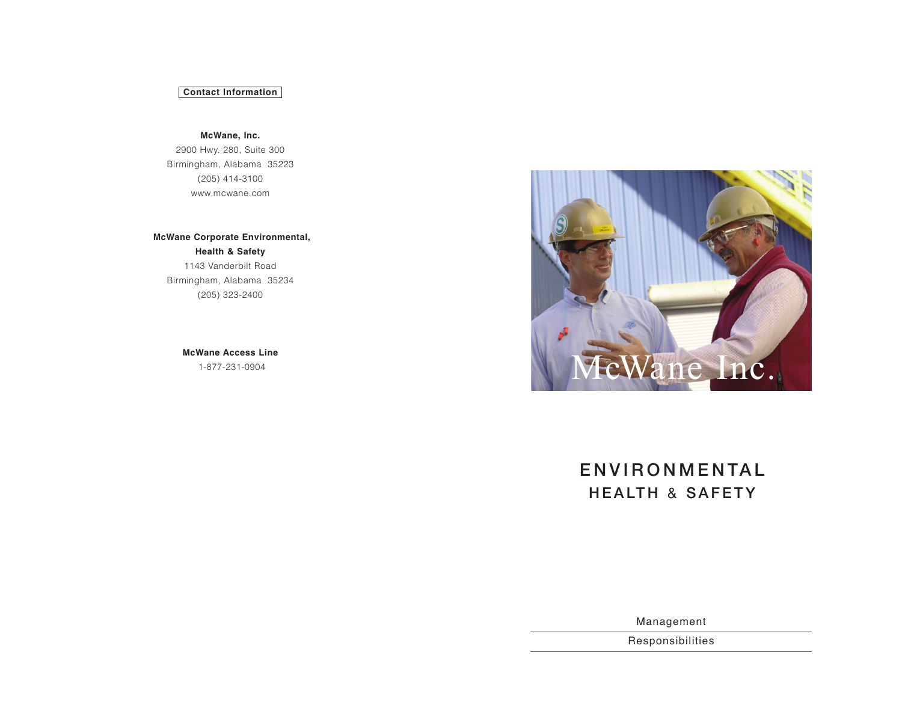# **Contact Information**

**McWane, Inc.**

2900 Hwy. 280, Suite 300 Birmingham, Alabama 35223 (205) 414-3100 www.mcwane.com

**McWane Corporate Environmental, Health & Safety** 1143 Vanderbilt Road Birmingham, Alabama 35234 (205) 323-2400

> **McWane Access Line** 1-877-231-0904



# **ENVIRONMENTAL HEALTH** & **SAFETY**

Management

Responsibilities